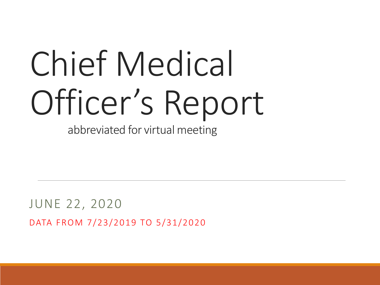# Chief Medical Officer's Report

abbreviated for virtual meeting

JUNE 22, 2020 DATA FROM 7/23/2019 TO 5/31/2020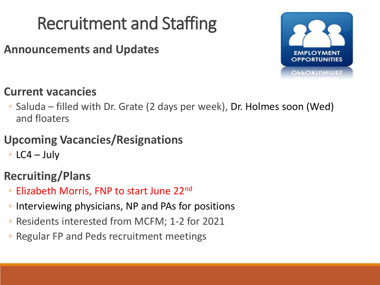## Recruitment and Staffing

**Announcements and Updates**



#### **Current vacancies**

◦ Saluda – filled with Dr. Grate (2 days per week), Dr. Holmes soon (Wed) and floaters

#### **Upcoming Vacancies/Resignations**

◦ LC4 – July

#### **Recruiting/Plans**

- Elizabeth Morris, FNP to start June 22nd
- Interviewing physicians, NP and PAs for positions
- Residents interested from MCFM; 1-2 for 2021
- Regular FP and Peds recruitment meetings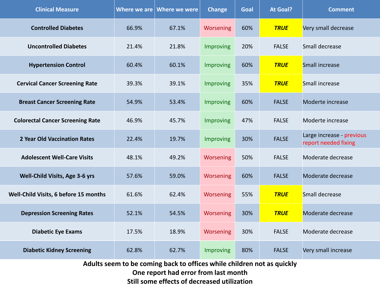| <b>Clinical Measure</b>                 |       | Where we are $\vert$ Where we were | <b>Change</b>    | Goal | <b>At Goal?</b> | <b>Comment</b>                                    |
|-----------------------------------------|-------|------------------------------------|------------------|------|-----------------|---------------------------------------------------|
| <b>Controlled Diabetes</b>              | 66.9% | 67.1%                              | Worsening        | 60%  | <b>TRUE</b>     | Very small decrease                               |
| <b>Uncontrolled Diabetes</b>            | 21.4% | 21.8%                              | <b>Improving</b> | 20%  | <b>FALSE</b>    | Small decrease                                    |
| <b>Hypertension Control</b>             | 60.4% | 60.1%                              | Improving        | 60%  | <b>TRUE</b>     | Small increase                                    |
| <b>Cervical Cancer Screening Rate</b>   | 39.3% | 39.1%                              | Improving        | 35%  | <b>TRUE</b>     | Small increase                                    |
| <b>Breast Cancer Screening Rate</b>     | 54.9% | 53.4%                              | Improving        | 60%  | <b>FALSE</b>    | Moderte increase                                  |
| <b>Colorectal Cancer Screening Rate</b> | 46.9% | 45.7%                              | Improving        | 47%  | <b>FALSE</b>    | Moderte increase                                  |
| <b>2 Year Old Vaccination Rates</b>     | 22.4% | 19.7%                              | Improving        | 30%  | <b>FALSE</b>    | Large increase - previous<br>report needed fixing |
| <b>Adolescent Well-Care Visits</b>      | 48.1% | 49.2%                              | Worsening        | 50%  | <b>FALSE</b>    | Moderate decrease                                 |
| Well-Child Visits, Age 3-6 yrs          | 57.6% | 59.0%                              | Worsening        | 60%  | <b>FALSE</b>    | Moderate decrease                                 |
| Well-Child Visits, 6 before 15 months   | 61.6% | 62.4%                              | Worsening        | 55%  | <b>TRUE</b>     | Small decrease                                    |
| <b>Depression Screening Rates</b>       | 52.1% | 54.5%                              | Worsening        | 30%  | <b>TRUE</b>     | Moderate decrease                                 |
| <b>Diabetic Eye Exams</b>               | 17.5% | 18.9%                              | Worsening        | 30%  | <b>FALSE</b>    | Moderate decrease                                 |
| <b>Diabetic Kidney Screening</b>        | 62.8% | 62.7%                              | Improving        | 80%  | <b>FALSE</b>    | Very small increase                               |
|                                         |       |                                    |                  |      |                 |                                                   |

**Adults seem to be coming back to offices while children not as quickly One report had error from last month Still some effects of decreased utilization**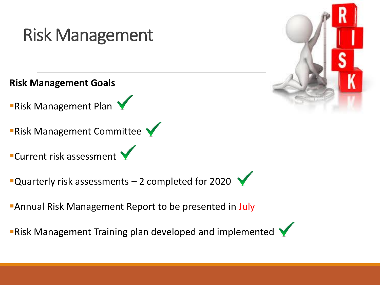